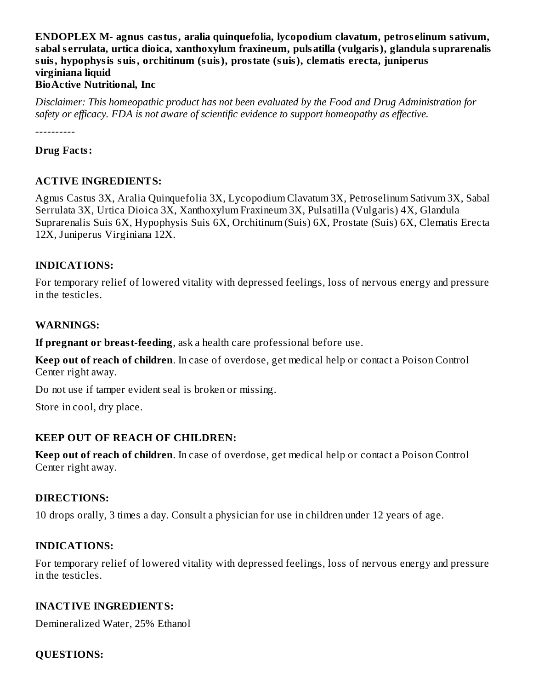#### **ENDOPLEX M- agnus castus, aralia quinquefolia, lycopodium clavatum, petros elinum sativum, sabal s errulata, urtica dioica, xanthoxylum fraxineum, pulsatilla (vulgaris), glandula suprarenalis suis, hypophysis suis, orchitinum (suis), prostate (suis), clematis erecta, juniperus virginiana liquid BioActive Nutritional, Inc**

*Disclaimer: This homeopathic product has not been evaluated by the Food and Drug Administration for safety or efficacy. FDA is not aware of scientific evidence to support homeopathy as effective.*

----------

#### **Drug Facts:**

#### **ACTIVE INGREDIENTS:**

Agnus Castus 3X, Aralia Quinquefolia 3X, Lycopodium Clavatum 3X, Petroselinum Sativum 3X, Sabal Serrulata 3X, Urtica Dioica 3X, Xanthoxylum Fraxineum 3X, Pulsatilla (Vulgaris) 4X, Glandula Suprarenalis Suis 6X, Hypophysis Suis 6X, Orchitinum (Suis) 6X, Prostate (Suis) 6X, Clematis Erecta 12X, Juniperus Virginiana 12X.

#### **INDICATIONS:**

For temporary relief of lowered vitality with depressed feelings, loss of nervous energy and pressure in the testicles.

#### **WARNINGS:**

**If pregnant or breast-feeding**, ask a health care professional before use.

**Keep out of reach of children**. In case of overdose, get medical help or contact a Poison Control Center right away.

Do not use if tamper evident seal is broken or missing.

Store in cool, dry place.

#### **KEEP OUT OF REACH OF CHILDREN:**

**Keep out of reach of children**. In case of overdose, get medical help or contact a Poison Control Center right away.

#### **DIRECTIONS:**

10 drops orally, 3 times a day. Consult a physician for use in children under 12 years of age.

#### **INDICATIONS:**

For temporary relief of lowered vitality with depressed feelings, loss of nervous energy and pressure in the testicles.

#### **INACTIVE INGREDIENTS:**

Demineralized Water, 25% Ethanol

#### **QUESTIONS:**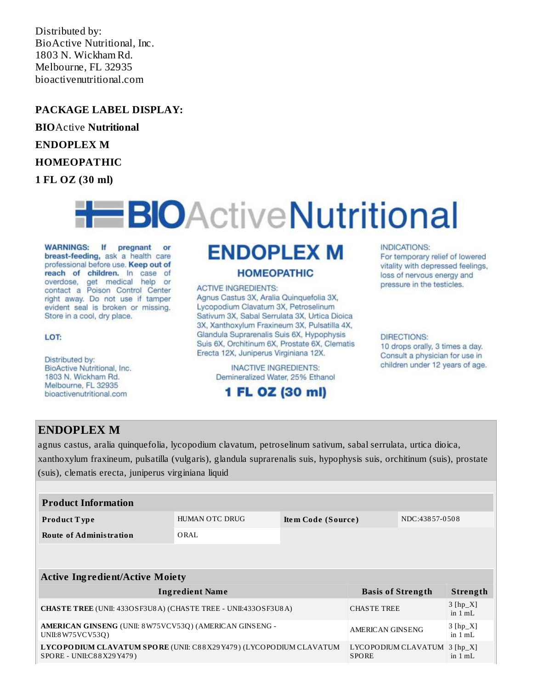Distributed by: BioActive Nutritional, Inc. 1803 N. Wickham Rd. Melbourne, FL 32935 bioactivenutritional.com

#### **PACKAGE LABEL DISPLAY:**

**BIO**Active **Nutritional**

#### **ENDOPLEX M**

#### **HOMEOPATHIC**

**1 FL OZ (30 ml)**

# **H**BIOActiveNutritional

WARNINGS: If pregnant or breast-feeding, ask a health care professional before use. Keep out of reach of children. In case of overdose, get medical help or contact a Poison Control Center right away. Do not use if tamper evident seal is broken or missing. Store in a cool, dry place.

#### LOT:

Distributed by: BioActive Nutritional, Inc. 1803 N. Wickham Rd. Melbourne, FL 32935 bioactivenutritional.com

## **ENDOPLEX M**

#### **HOMEOPATHIC**

**ACTIVE INGREDIENTS:** Agnus Castus 3X, Aralia Quinquefolia 3X, Lycopodium Clavatum 3X, Petroselinum Sativum 3X, Sabal Serrulata 3X, Urtica Dioica 3X, Xanthoxylum Fraxineum 3X, Pulsatilla 4X, Glandula Suprarenalis Suis 6X, Hypophysis Suis 6X, Orchitinum 6X, Prostate 6X, Clematis Erecta 12X, Juniperus Virginiana 12X.

> **INACTIVE INGREDIENTS:** Demineralized Water, 25% Ethanol

### 1 FL OZ (30 ml)

#### INDICATIONS:

For temporary relief of lowered vitality with depressed feelings, loss of nervous energy and pressure in the testicles.

#### **DIRECTIONS:**

10 drops orally, 3 times a day. Consult a physician for use in children under 12 years of age.

#### **ENDOPLEX M**

agnus castus, aralia quinquefolia, lycopodium clavatum, petroselinum sativum, sabal serrulata, urtica dioica, xanthoxylum fraxineum, pulsatilla (vulgaris), glandula suprarenalis suis, hypophysis suis, orchitinum (suis), prostate (suis), clematis erecta, juniperus virginiana liquid

| <b>Product Information</b> |                |                    |                |  |
|----------------------------|----------------|--------------------|----------------|--|
| <b>Product Type</b>        | HUMAN OTC DRUG | Item Code (Source) | NDC:43857-0508 |  |
| Route of Administration    | ORAL           |                    |                |  |

| <b>Active Ingredient/Active Moiety</b>                                                        |                                              |                                 |  |  |  |
|-----------------------------------------------------------------------------------------------|----------------------------------------------|---------------------------------|--|--|--|
| <b>Ingredient Name</b>                                                                        | <b>Basis of Strength</b>                     | Strength                        |  |  |  |
| <b>CHASTE TREE (UNII: 433OSF3U8A) (CHASTE TREE - UNII:433OSF3U8A)</b>                         | <b>CHASTE TREE</b>                           | $3 [hp_X]$<br>in $1 mL$         |  |  |  |
| AMERICAN GINSENG (UNII: 8W75VCV53Q) (AMERICAN GINSENG -<br>UNII:8 W75 VC V53Q)                | <b>AMERICAN GINSENG</b>                      | $3 [hp_X]$<br>in $1 \text{ mL}$ |  |  |  |
| LYCOPODIUM CLAVATUM SPORE (UNII: C88X29Y479) (LYCOPODIUM CLAVATUM<br>SPORE - UNII:C88X29Y479) | LYCOPODIUM CLAVATUM 3 [hp_X]<br><b>SPORE</b> | in $1 mL$                       |  |  |  |